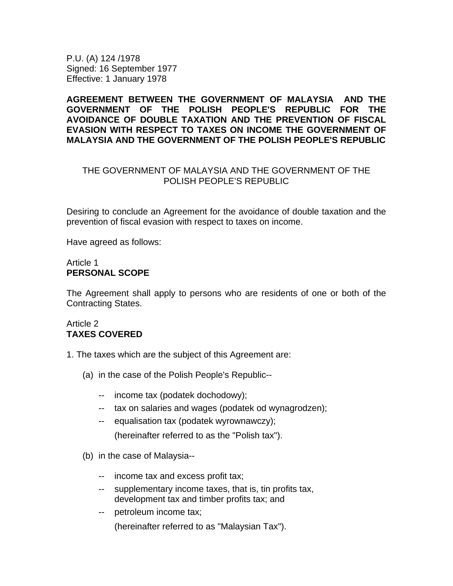P.U. (A) 124 /1978 Signed: 16 September 1977 Effective: 1 January 1978

**AGREEMENT BETWEEN THE GOVERNMENT OF MALAYSIA AND THE GOVERNMENT OF THE POLISH PEOPLE'S REPUBLIC FOR THE AVOIDANCE OF DOUBLE TAXATION AND THE PREVENTION OF FISCAL EVASION WITH RESPECT TO TAXES ON INCOME THE GOVERNMENT OF MALAYSIA AND THE GOVERNMENT OF THE POLISH PEOPLE'S REPUBLIC** 

## THE GOVERNMENT OF MALAYSIA AND THE GOVERNMENT OF THE POLISH PEOPLE'S REPUBLIC

Desiring to conclude an Agreement for the avoidance of double taxation and the prevention of fiscal evasion with respect to taxes on income.

Have agreed as follows:

## Article 1 **PERSONAL SCOPE**

The Agreement shall apply to persons who are residents of one or both of the Contracting States.

## Article 2 **TAXES COVERED**

- 1. The taxes which are the subject of this Agreement are:
	- (a) in the case of the Polish People's Republic--
		- -- income tax (podatek dochodowy);
		- -- tax on salaries and wages (podatek od wynagrodzen);
		- -- equalisation tax (podatek wyrownawczy); (hereinafter referred to as the "Polish tax").
	- (b) in the case of Malaysia--
		- -- income tax and excess profit tax;
		- -- supplementary income taxes, that is, tin profits tax, development tax and timber profits tax; and
		- -- petroleum income tax;

(hereinafter referred to as "Malaysian Tax").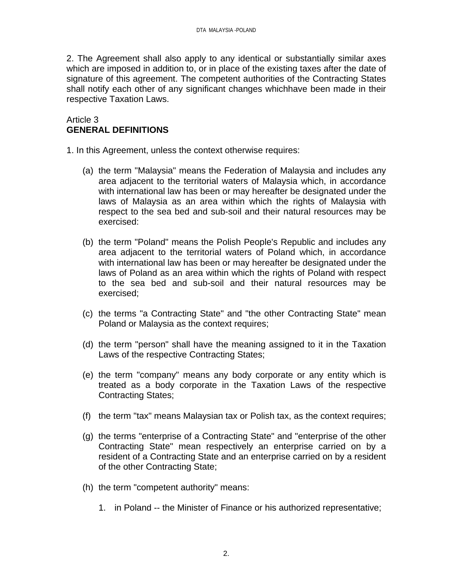2. The Agreement shall also apply to any identical or substantially similar axes which are imposed in addition to, or in place of the existing taxes after the date of signature of this agreement. The competent authorities of the Contracting States shall notify each other of any significant changes whichhave been made in their respective Taxation Laws.

## Article 3 **GENERAL DEFINITIONS**

1. In this Agreement, unless the context otherwise requires:

- (a) the term "Malaysia" means the Federation of Malaysia and includes any area adjacent to the territorial waters of Malaysia which, in accordance with international law has been or may hereafter be designated under the laws of Malaysia as an area within which the rights of Malaysia with respect to the sea bed and sub-soil and their natural resources may be exercised:
- (b) the term "Poland" means the Polish People's Republic and includes any area adjacent to the territorial waters of Poland which, in accordance with international law has been or may hereafter be designated under the laws of Poland as an area within which the rights of Poland with respect to the sea bed and sub-soil and their natural resources may be exercised;
- (c) the terms "a Contracting State" and "the other Contracting State" mean Poland or Malaysia as the context requires;
- (d) the term "person" shall have the meaning assigned to it in the Taxation Laws of the respective Contracting States;
- (e) the term "company" means any body corporate or any entity which is treated as a body corporate in the Taxation Laws of the respective Contracting States;
- (f) the term "tax" means Malaysian tax or Polish tax, as the context requires;
- (g) the terms "enterprise of a Contracting State" and "enterprise of the other Contracting State" mean respectively an enterprise carried on by a resident of a Contracting State and an enterprise carried on by a resident of the other Contracting State;
- (h) the term "competent authority" means:
	- 1. in Poland -- the Minister of Finance or his authorized representative;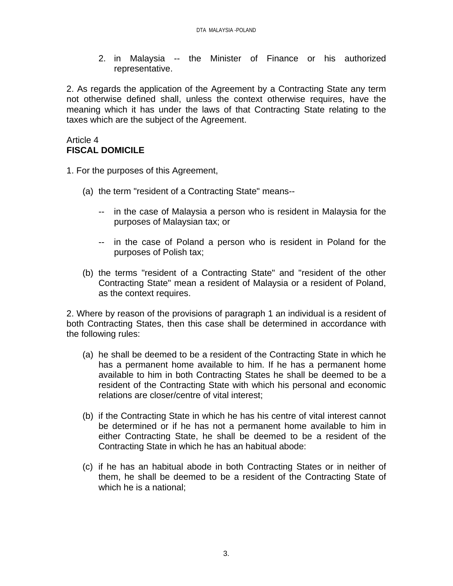2. in Malaysia -- the Minister of Finance or his authorized representative.

2. As regards the application of the Agreement by a Contracting State any term not otherwise defined shall, unless the context otherwise requires, have the meaning which it has under the laws of that Contracting State relating to the taxes which are the subject of the Agreement.

#### Article 4 **FISCAL DOMICILE**

1. For the purposes of this Agreement,

- (a) the term "resident of a Contracting State" means--
	- -- in the case of Malaysia a person who is resident in Malaysia for the purposes of Malaysian tax; or
	- -- in the case of Poland a person who is resident in Poland for the purposes of Polish tax;
- (b) the terms "resident of a Contracting State" and "resident of the other Contracting State" mean a resident of Malaysia or a resident of Poland, as the context requires.

2. Where by reason of the provisions of paragraph 1 an individual is a resident of both Contracting States, then this case shall be determined in accordance with the following rules:

- (a) he shall be deemed to be a resident of the Contracting State in which he has a permanent home available to him. If he has a permanent home available to him in both Contracting States he shall be deemed to be a resident of the Contracting State with which his personal and economic relations are closer/centre of vital interest;
- (b) if the Contracting State in which he has his centre of vital interest cannot be determined or if he has not a permanent home available to him in either Contracting State, he shall be deemed to be a resident of the Contracting State in which he has an habitual abode:
- (c) if he has an habitual abode in both Contracting States or in neither of them, he shall be deemed to be a resident of the Contracting State of which he is a national;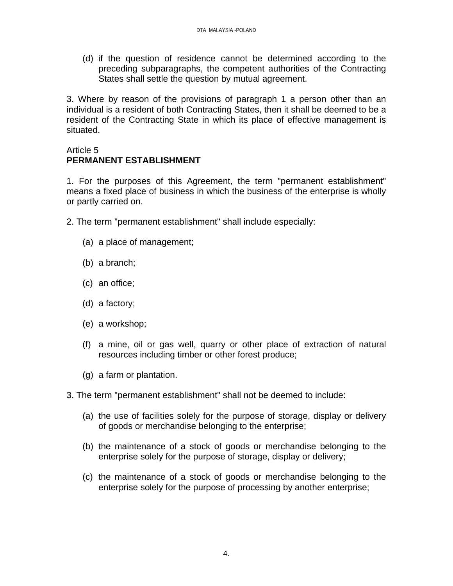(d) if the question of residence cannot be determined according to the preceding subparagraphs, the competent authorities of the Contracting States shall settle the question by mutual agreement.

3. Where by reason of the provisions of paragraph 1 a person other than an individual is a resident of both Contracting States, then it shall be deemed to be a resident of the Contracting State in which its place of effective management is situated.

## Article 5 **PERMANENT ESTABLISHMENT**

1. For the purposes of this Agreement, the term "permanent establishment" means a fixed place of business in which the business of the enterprise is wholly or partly carried on.

- 2. The term "permanent establishment" shall include especially:
	- (a) a place of management;
	- (b) a branch;
	- (c) an office;
	- (d) a factory;
	- (e) a workshop;
	- (f) a mine, oil or gas well, quarry or other place of extraction of natural resources including timber or other forest produce;
	- (g) a farm or plantation.
- 3. The term "permanent establishment" shall not be deemed to include:
	- (a) the use of facilities solely for the purpose of storage, display or delivery of goods or merchandise belonging to the enterprise;
	- (b) the maintenance of a stock of goods or merchandise belonging to the enterprise solely for the purpose of storage, display or delivery;
	- (c) the maintenance of a stock of goods or merchandise belonging to the enterprise solely for the purpose of processing by another enterprise;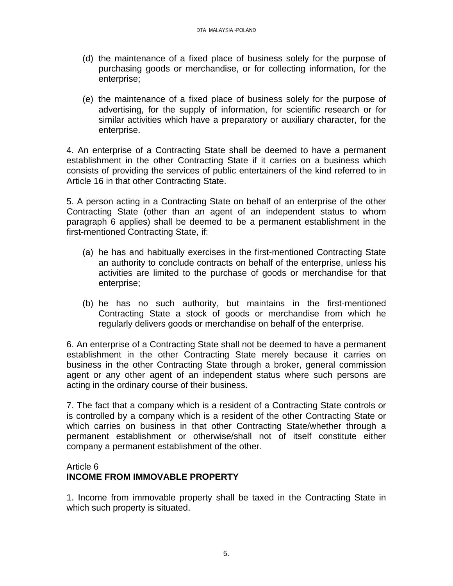- (d) the maintenance of a fixed place of business solely for the purpose of purchasing goods or merchandise, or for collecting information, for the enterprise;
- (e) the maintenance of a fixed place of business solely for the purpose of advertising, for the supply of information, for scientific research or for similar activities which have a preparatory or auxiliary character, for the enterprise.

4. An enterprise of a Contracting State shall be deemed to have a permanent establishment in the other Contracting State if it carries on a business which consists of providing the services of public entertainers of the kind referred to in Article 16 in that other Contracting State.

5. A person acting in a Contracting State on behalf of an enterprise of the other Contracting State (other than an agent of an independent status to whom paragraph 6 applies) shall be deemed to be a permanent establishment in the first-mentioned Contracting State, if:

- (a) he has and habitually exercises in the first-mentioned Contracting State an authority to conclude contracts on behalf of the enterprise, unless his activities are limited to the purchase of goods or merchandise for that enterprise;
- (b) he has no such authority, but maintains in the first-mentioned Contracting State a stock of goods or merchandise from which he regularly delivers goods or merchandise on behalf of the enterprise.

6. An enterprise of a Contracting State shall not be deemed to have a permanent establishment in the other Contracting State merely because it carries on business in the other Contracting State through a broker, general commission agent or any other agent of an independent status where such persons are acting in the ordinary course of their business.

7. The fact that a company which is a resident of a Contracting State controls or is controlled by a company which is a resident of the other Contracting State or which carries on business in that other Contracting State/whether through a permanent establishment or otherwise/shall not of itself constitute either company a permanent establishment of the other.

# Article 6 **INCOME FROM IMMOVABLE PROPERTY**

1. Income from immovable property shall be taxed in the Contracting State in which such property is situated.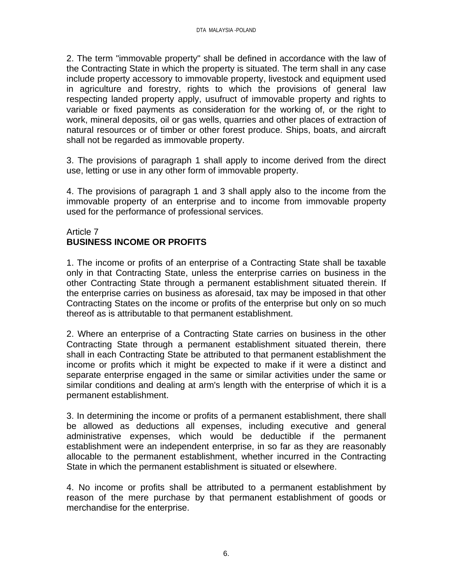2. The term "immovable property" shall be defined in accordance with the law of the Contracting State in which the property is situated. The term shall in any case include property accessory to immovable property, livestock and equipment used in agriculture and forestry, rights to which the provisions of general law respecting landed property apply, usufruct of immovable property and rights to variable or fixed payments as consideration for the working of, or the right to work, mineral deposits, oil or gas wells, quarries and other places of extraction of natural resources or of timber or other forest produce. Ships, boats, and aircraft shall not be regarded as immovable property.

3. The provisions of paragraph 1 shall apply to income derived from the direct use, letting or use in any other form of immovable property.

4. The provisions of paragraph 1 and 3 shall apply also to the income from the immovable property of an enterprise and to income from immovable property used for the performance of professional services.

## Article 7 **BUSINESS INCOME OR PROFITS**

1. The income or profits of an enterprise of a Contracting State shall be taxable only in that Contracting State, unless the enterprise carries on business in the other Contracting State through a permanent establishment situated therein. If the enterprise carries on business as aforesaid, tax may be imposed in that other Contracting States on the income or profits of the enterprise but only on so much thereof as is attributable to that permanent establishment.

2. Where an enterprise of a Contracting State carries on business in the other Contracting State through a permanent establishment situated therein, there shall in each Contracting State be attributed to that permanent establishment the income or profits which it might be expected to make if it were a distinct and separate enterprise engaged in the same or similar activities under the same or similar conditions and dealing at arm's length with the enterprise of which it is a permanent establishment.

3. In determining the income or profits of a permanent establishment, there shall be allowed as deductions all expenses, including executive and general administrative expenses, which would be deductible if the permanent establishment were an independent enterprise, in so far as they are reasonably allocable to the permanent establishment, whether incurred in the Contracting State in which the permanent establishment is situated or elsewhere.

4. No income or profits shall be attributed to a permanent establishment by reason of the mere purchase by that permanent establishment of goods or merchandise for the enterprise.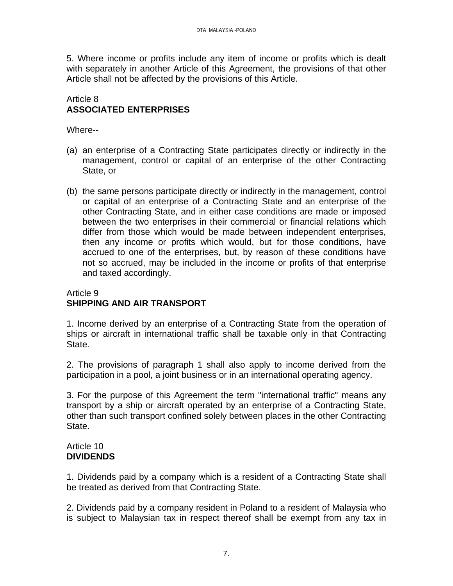5. Where income or profits include any item of income or profits which is dealt with separately in another Article of this Agreement, the provisions of that other Article shall not be affected by the provisions of this Article.

## Article 8 **ASSOCIATED ENTERPRISES**

Where--

- (a) an enterprise of a Contracting State participates directly or indirectly in the management, control or capital of an enterprise of the other Contracting State, or
- (b) the same persons participate directly or indirectly in the management, control or capital of an enterprise of a Contracting State and an enterprise of the other Contracting State, and in either case conditions are made or imposed between the two enterprises in their commercial or financial relations which differ from those which would be made between independent enterprises, then any income or profits which would, but for those conditions, have accrued to one of the enterprises, but, by reason of these conditions have not so accrued, may be included in the income or profits of that enterprise and taxed accordingly.

# Article 9 **SHIPPING AND AIR TRANSPORT**

1. Income derived by an enterprise of a Contracting State from the operation of ships or aircraft in international traffic shall be taxable only in that Contracting State.

2. The provisions of paragraph 1 shall also apply to income derived from the participation in a pool, a joint business or in an international operating agency.

3. For the purpose of this Agreement the term "international traffic" means any transport by a ship or aircraft operated by an enterprise of a Contracting State, other than such transport confined solely between places in the other Contracting State.

#### Article 10 **DIVIDENDS**

1. Dividends paid by a company which is a resident of a Contracting State shall be treated as derived from that Contracting State.

2. Dividends paid by a company resident in Poland to a resident of Malaysia who is subject to Malaysian tax in respect thereof shall be exempt from any tax in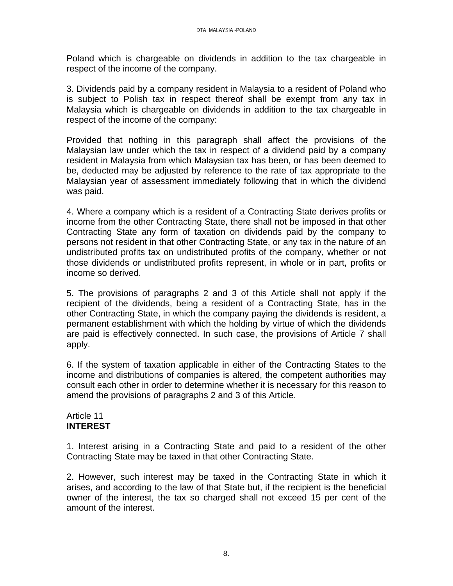Poland which is chargeable on dividends in addition to the tax chargeable in respect of the income of the company.

3. Dividends paid by a company resident in Malaysia to a resident of Poland who is subject to Polish tax in respect thereof shall be exempt from any tax in Malaysia which is chargeable on dividends in addition to the tax chargeable in respect of the income of the company:

Provided that nothing in this paragraph shall affect the provisions of the Malaysian law under which the tax in respect of a dividend paid by a company resident in Malaysia from which Malaysian tax has been, or has been deemed to be, deducted may be adjusted by reference to the rate of tax appropriate to the Malaysian year of assessment immediately following that in which the dividend was paid.

4. Where a company which is a resident of a Contracting State derives profits or income from the other Contracting State, there shall not be imposed in that other Contracting State any form of taxation on dividends paid by the company to persons not resident in that other Contracting State, or any tax in the nature of an undistributed profits tax on undistributed profits of the company, whether or not those dividends or undistributed profits represent, in whole or in part, profits or income so derived.

5. The provisions of paragraphs 2 and 3 of this Article shall not apply if the recipient of the dividends, being a resident of a Contracting State, has in the other Contracting State, in which the company paying the dividends is resident, a permanent establishment with which the holding by virtue of which the dividends are paid is effectively connected. In such case, the provisions of Article 7 shall apply.

6. If the system of taxation applicable in either of the Contracting States to the income and distributions of companies is altered, the competent authorities may consult each other in order to determine whether it is necessary for this reason to amend the provisions of paragraphs 2 and 3 of this Article.

#### Article 11 **INTEREST**

1. Interest arising in a Contracting State and paid to a resident of the other Contracting State may be taxed in that other Contracting State.

2. However, such interest may be taxed in the Contracting State in which it arises, and according to the law of that State but, if the recipient is the beneficial owner of the interest, the tax so charged shall not exceed 15 per cent of the amount of the interest.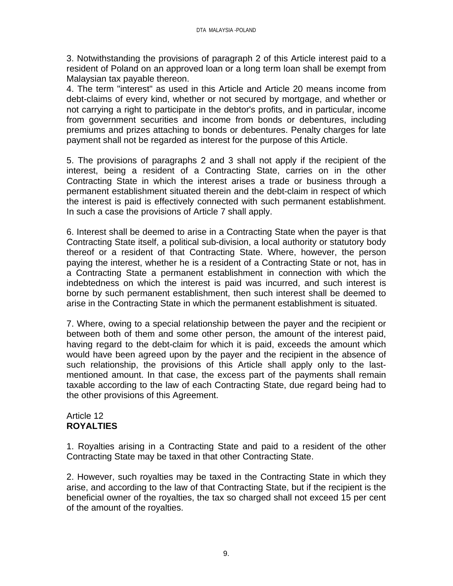3. Notwithstanding the provisions of paragraph 2 of this Article interest paid to a resident of Poland on an approved loan or a long term loan shall be exempt from Malaysian tax payable thereon.

4. The term "interest" as used in this Article and Article 20 means income from debt-claims of every kind, whether or not secured by mortgage, and whether or not carrying a right to participate in the debtor's profits, and in particular, income from government securities and income from bonds or debentures, including premiums and prizes attaching to bonds or debentures. Penalty charges for late payment shall not be regarded as interest for the purpose of this Article.

5. The provisions of paragraphs 2 and 3 shall not apply if the recipient of the interest, being a resident of a Contracting State, carries on in the other Contracting State in which the interest arises a trade or business through a permanent establishment situated therein and the debt-claim in respect of which the interest is paid is effectively connected with such permanent establishment. In such a case the provisions of Article 7 shall apply.

6. Interest shall be deemed to arise in a Contracting State when the payer is that Contracting State itself, a political sub-division, a local authority or statutory body thereof or a resident of that Contracting State. Where, however, the person paying the interest, whether he is a resident of a Contracting State or not, has in a Contracting State a permanent establishment in connection with which the indebtedness on which the interest is paid was incurred, and such interest is borne by such permanent establishment, then such interest shall be deemed to arise in the Contracting State in which the permanent establishment is situated.

7. Where, owing to a special relationship between the payer and the recipient or between both of them and some other person, the amount of the interest paid, having regard to the debt-claim for which it is paid, exceeds the amount which would have been agreed upon by the payer and the recipient in the absence of such relationship, the provisions of this Article shall apply only to the lastmentioned amount. In that case, the excess part of the payments shall remain taxable according to the law of each Contracting State, due regard being had to the other provisions of this Agreement.

#### Article 12 **ROYALTIES**

1. Royalties arising in a Contracting State and paid to a resident of the other Contracting State may be taxed in that other Contracting State.

2. However, such royalties may be taxed in the Contracting State in which they arise, and according to the law of that Contracting State, but if the recipient is the beneficial owner of the royalties, the tax so charged shall not exceed 15 per cent of the amount of the royalties.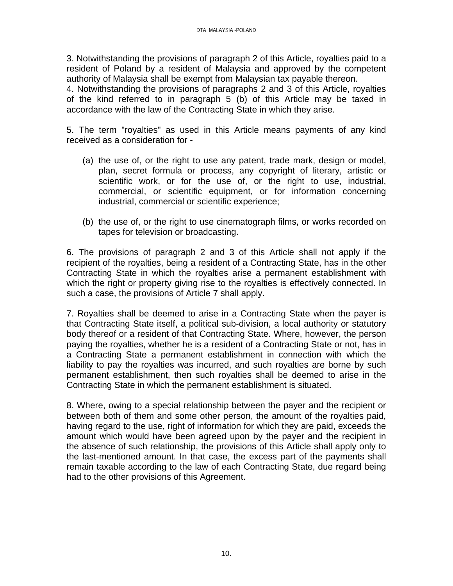3. Notwithstanding the provisions of paragraph 2 of this Article, royalties paid to a resident of Poland by a resident of Malaysia and approved by the competent authority of Malaysia shall be exempt from Malaysian tax payable thereon.

4. Notwithstanding the provisions of paragraphs 2 and 3 of this Article, royalties of the kind referred to in paragraph 5 (b) of this Article may be taxed in accordance with the law of the Contracting State in which they arise.

5. The term "royalties" as used in this Article means payments of any kind received as a consideration for -

- (a) the use of, or the right to use any patent, trade mark, design or model, plan, secret formula or process, any copyright of literary, artistic or scientific work, or for the use of, or the right to use, industrial, commercial, or scientific equipment, or for information concerning industrial, commercial or scientific experience;
- (b) the use of, or the right to use cinematograph films, or works recorded on tapes for television or broadcasting.

6. The provisions of paragraph 2 and 3 of this Article shall not apply if the recipient of the royalties, being a resident of a Contracting State, has in the other Contracting State in which the royalties arise a permanent establishment with which the right or property giving rise to the royalties is effectively connected. In such a case, the provisions of Article 7 shall apply.

7. Royalties shall be deemed to arise in a Contracting State when the payer is that Contracting State itself, a political sub-division, a local authority or statutory body thereof or a resident of that Contracting State. Where, however, the person paying the royalties, whether he is a resident of a Contracting State or not, has in a Contracting State a permanent establishment in connection with which the liability to pay the royalties was incurred, and such royalties are borne by such permanent establishment, then such royalties shall be deemed to arise in the Contracting State in which the permanent establishment is situated.

8. Where, owing to a special relationship between the payer and the recipient or between both of them and some other person, the amount of the royalties paid, having regard to the use, right of information for which they are paid, exceeds the amount which would have been agreed upon by the payer and the recipient in the absence of such relationship, the provisions of this Article shall apply only to the last-mentioned amount. In that case, the excess part of the payments shall remain taxable according to the law of each Contracting State, due regard being had to the other provisions of this Agreement.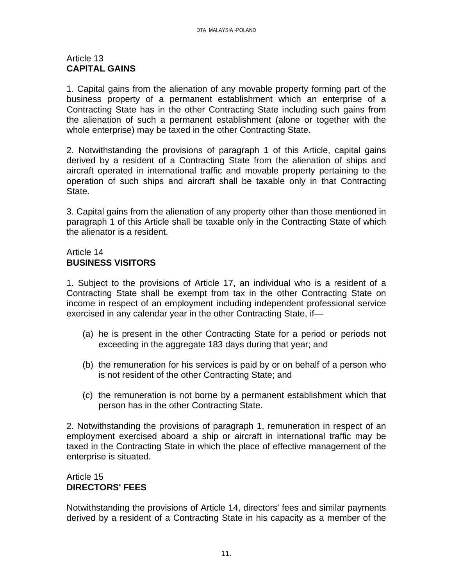### Article 13 **CAPITAL GAINS**

1. Capital gains from the alienation of any movable property forming part of the business property of a permanent establishment which an enterprise of a Contracting State has in the other Contracting State including such gains from the alienation of such a permanent establishment (alone or together with the whole enterprise) may be taxed in the other Contracting State.

2. Notwithstanding the provisions of paragraph 1 of this Article, capital gains derived by a resident of a Contracting State from the alienation of ships and aircraft operated in international traffic and movable property pertaining to the operation of such ships and aircraft shall be taxable only in that Contracting State.

3. Capital gains from the alienation of any property other than those mentioned in paragraph 1 of this Article shall be taxable only in the Contracting State of which the alienator is a resident.

# Article 14 **BUSINESS VISITORS**

1. Subject to the provisions of Article 17, an individual who is a resident of a Contracting State shall be exempt from tax in the other Contracting State on income in respect of an employment including independent professional service exercised in any calendar year in the other Contracting State, if—

- (a) he is present in the other Contracting State for a period or periods not exceeding in the aggregate 183 days during that year; and
- (b) the remuneration for his services is paid by or on behalf of a person who is not resident of the other Contracting State; and
- (c) the remuneration is not borne by a permanent establishment which that person has in the other Contracting State.

2. Notwithstanding the provisions of paragraph 1, remuneration in respect of an employment exercised aboard a ship or aircraft in international traffic may be taxed in the Contracting State in which the place of effective management of the enterprise is situated.

# Article 15 **DIRECTORS' FEES**

Notwithstanding the provisions of Article 14, directors' fees and similar payments derived by a resident of a Contracting State in his capacity as a member of the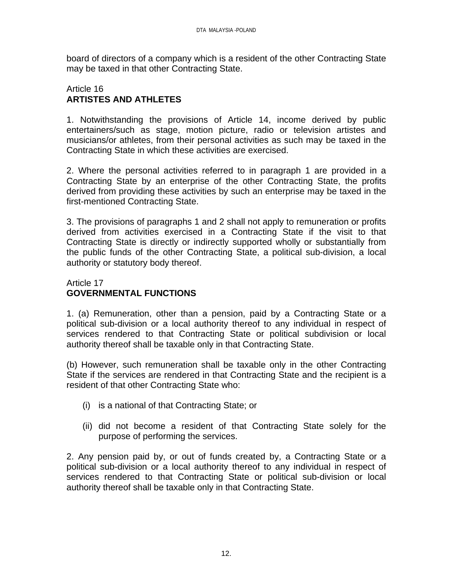board of directors of a company which is a resident of the other Contracting State may be taxed in that other Contracting State.

#### Article 16 **ARTISTES AND ATHLETES**

1. Notwithstanding the provisions of Article 14, income derived by public entertainers/such as stage, motion picture, radio or television artistes and musicians/or athletes, from their personal activities as such may be taxed in the Contracting State in which these activities are exercised.

2. Where the personal activities referred to in paragraph 1 are provided in a Contracting State by an enterprise of the other Contracting State, the profits derived from providing these activities by such an enterprise may be taxed in the first-mentioned Contracting State.

3. The provisions of paragraphs 1 and 2 shall not apply to remuneration or profits derived from activities exercised in a Contracting State if the visit to that Contracting State is directly or indirectly supported wholly or substantially from the public funds of the other Contracting State, a political sub-division, a local authority or statutory body thereof.

## Article 17 **GOVERNMENTAL FUNCTIONS**

1. (a) Remuneration, other than a pension, paid by a Contracting State or a political sub-division or a local authority thereof to any individual in respect of services rendered to that Contracting State or political subdivision or local authority thereof shall be taxable only in that Contracting State.

(b) However, such remuneration shall be taxable only in the other Contracting State if the services are rendered in that Contracting State and the recipient is a resident of that other Contracting State who:

- (i) is a national of that Contracting State; or
- (ii) did not become a resident of that Contracting State solely for the purpose of performing the services.

2. Any pension paid by, or out of funds created by, a Contracting State or a political sub-division or a local authority thereof to any individual in respect of services rendered to that Contracting State or political sub-division or local authority thereof shall be taxable only in that Contracting State.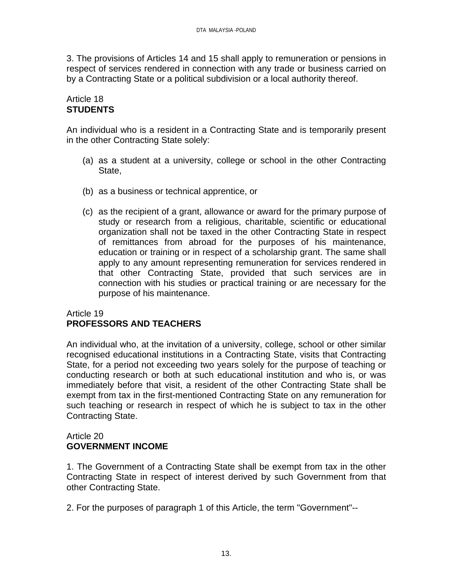3. The provisions of Articles 14 and 15 shall apply to remuneration or pensions in respect of services rendered in connection with any trade or business carried on by a Contracting State or a political subdivision or a local authority thereof.

## Article 18 **STUDENTS**

An individual who is a resident in a Contracting State and is temporarily present in the other Contracting State solely:

- (a) as a student at a university, college or school in the other Contracting State,
- (b) as a business or technical apprentice, or
- (c) as the recipient of a grant, allowance or award for the primary purpose of study or research from a religious, charitable, scientific or educational organization shall not be taxed in the other Contracting State in respect of remittances from abroad for the purposes of his maintenance, education or training or in respect of a scholarship grant. The same shall apply to any amount representing remuneration for services rendered in that other Contracting State, provided that such services are in connection with his studies or practical training or are necessary for the purpose of his maintenance.

## Article 19 **PROFESSORS AND TEACHERS**

An individual who, at the invitation of a university, college, school or other similar recognised educational institutions in a Contracting State, visits that Contracting State, for a period not exceeding two years solely for the purpose of teaching or conducting research or both at such educational institution and who is, or was immediately before that visit, a resident of the other Contracting State shall be exempt from tax in the first-mentioned Contracting State on any remuneration for such teaching or research in respect of which he is subject to tax in the other Contracting State.

#### Article 20 **GOVERNMENT INCOME**

1. The Government of a Contracting State shall be exempt from tax in the other Contracting State in respect of interest derived by such Government from that other Contracting State.

2. For the purposes of paragraph 1 of this Article, the term "Government"--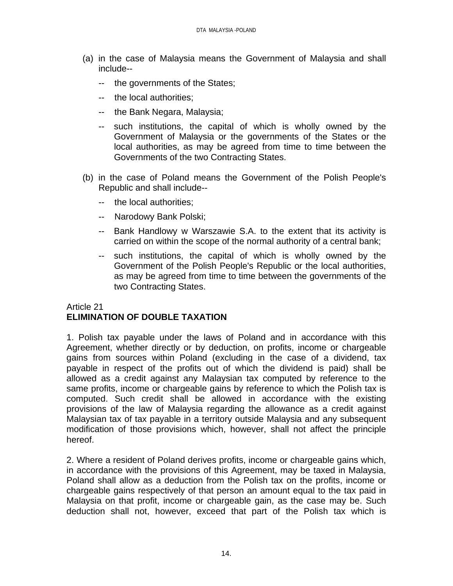- (a) in the case of Malaysia means the Government of Malaysia and shall include--
	- -- the governments of the States;
	- -- the local authorities;
	- -- the Bank Negara, Malaysia;
	- -- such institutions, the capital of which is wholly owned by the Government of Malaysia or the governments of the States or the local authorities, as may be agreed from time to time between the Governments of the two Contracting States.
- (b) in the case of Poland means the Government of the Polish People's Republic and shall include--
	- -- the local authorities;
	- -- Narodowy Bank Polski;
	- -- Bank Handlowy w Warszawie S.A. to the extent that its activity is carried on within the scope of the normal authority of a central bank;
	- -- such institutions, the capital of which is wholly owned by the Government of the Polish People's Republic or the local authorities, as may be agreed from time to time between the governments of the two Contracting States.

# Article 21 **ELIMINATION OF DOUBLE TAXATION**

1. Polish tax payable under the laws of Poland and in accordance with this Agreement, whether directly or by deduction, on profits, income or chargeable gains from sources within Poland (excluding in the case of a dividend, tax payable in respect of the profits out of which the dividend is paid) shall be allowed as a credit against any Malaysian tax computed by reference to the same profits, income or chargeable gains by reference to which the Polish tax is computed. Such credit shall be allowed in accordance with the existing provisions of the law of Malaysia regarding the allowance as a credit against Malaysian tax of tax payable in a territory outside Malaysia and any subsequent modification of those provisions which, however, shall not affect the principle hereof.

2. Where a resident of Poland derives profits, income or chargeable gains which, in accordance with the provisions of this Agreement, may be taxed in Malaysia, Poland shall allow as a deduction from the Polish tax on the profits, income or chargeable gains respectively of that person an amount equal to the tax paid in Malaysia on that profit, income or chargeable gain, as the case may be. Such deduction shall not, however, exceed that part of the Polish tax which is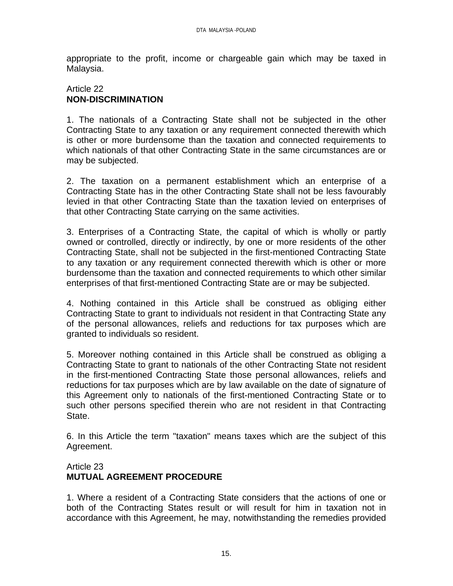appropriate to the profit, income or chargeable gain which may be taxed in Malaysia.

#### Article 22 **NON-DISCRIMINATION**

1. The nationals of a Contracting State shall not be subjected in the other Contracting State to any taxation or any requirement connected therewith which is other or more burdensome than the taxation and connected requirements to which nationals of that other Contracting State in the same circumstances are or may be subjected.

2. The taxation on a permanent establishment which an enterprise of a Contracting State has in the other Contracting State shall not be less favourably levied in that other Contracting State than the taxation levied on enterprises of that other Contracting State carrying on the same activities.

3. Enterprises of a Contracting State, the capital of which is wholly or partly owned or controlled, directly or indirectly, by one or more residents of the other Contracting State, shall not be subjected in the first-mentioned Contracting State to any taxation or any requirement connected therewith which is other or more burdensome than the taxation and connected requirements to which other similar enterprises of that first-mentioned Contracting State are or may be subjected.

4. Nothing contained in this Article shall be construed as obliging either Contracting State to grant to individuals not resident in that Contracting State any of the personal allowances, reliefs and reductions for tax purposes which are granted to individuals so resident.

5. Moreover nothing contained in this Article shall be construed as obliging a Contracting State to grant to nationals of the other Contracting State not resident in the first-mentioned Contracting State those personal allowances, reliefs and reductions for tax purposes which are by law available on the date of signature of this Agreement only to nationals of the first-mentioned Contracting State or to such other persons specified therein who are not resident in that Contracting State.

6. In this Article the term "taxation" means taxes which are the subject of this Agreement.

# Article 23 **MUTUAL AGREEMENT PROCEDURE**

1. Where a resident of a Contracting State considers that the actions of one or both of the Contracting States result or will result for him in taxation not in accordance with this Agreement, he may, notwithstanding the remedies provided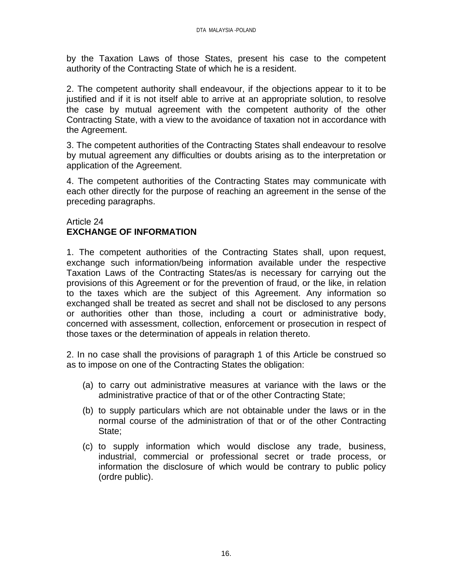by the Taxation Laws of those States, present his case to the competent authority of the Contracting State of which he is a resident.

2. The competent authority shall endeavour, if the objections appear to it to be justified and if it is not itself able to arrive at an appropriate solution, to resolve the case by mutual agreement with the competent authority of the other Contracting State, with a view to the avoidance of taxation not in accordance with the Agreement.

3. The competent authorities of the Contracting States shall endeavour to resolve by mutual agreement any difficulties or doubts arising as to the interpretation or application of the Agreement.

4. The competent authorities of the Contracting States may communicate with each other directly for the purpose of reaching an agreement in the sense of the preceding paragraphs.

## Article 24 **EXCHANGE OF INFORMATION**

1. The competent authorities of the Contracting States shall, upon request, exchange such information/being information available under the respective Taxation Laws of the Contracting States/as is necessary for carrying out the provisions of this Agreement or for the prevention of fraud, or the like, in relation to the taxes which are the subject of this Agreement. Any information so exchanged shall be treated as secret and shall not be disclosed to any persons or authorities other than those, including a court or administrative body, concerned with assessment, collection, enforcement or prosecution in respect of those taxes or the determination of appeals in relation thereto.

2. In no case shall the provisions of paragraph 1 of this Article be construed so as to impose on one of the Contracting States the obligation:

- (a) to carry out administrative measures at variance with the laws or the administrative practice of that or of the other Contracting State;
- (b) to supply particulars which are not obtainable under the laws or in the normal course of the administration of that or of the other Contracting State;
- (c) to supply information which would disclose any trade, business, industrial, commercial or professional secret or trade process, or information the disclosure of which would be contrary to public policy (ordre public).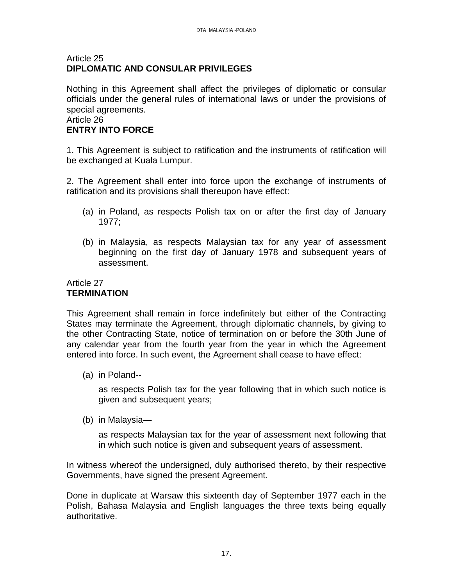#### Article 25 **DIPLOMATIC AND CONSULAR PRIVILEGES**

Nothing in this Agreement shall affect the privileges of diplomatic or consular officials under the general rules of international laws or under the provisions of special agreements.

# Article 26

## **ENTRY INTO FORCE**

1. This Agreement is subject to ratification and the instruments of ratification will be exchanged at Kuala Lumpur.

2. The Agreement shall enter into force upon the exchange of instruments of ratification and its provisions shall thereupon have effect:

- (a) in Poland, as respects Polish tax on or after the first day of January 1977;
- (b) in Malaysia, as respects Malaysian tax for any year of assessment beginning on the first day of January 1978 and subsequent years of assessment.

# Article 27 **TERMINATION**

This Agreement shall remain in force indefinitely but either of the Contracting States may terminate the Agreement, through diplomatic channels, by giving to the other Contracting State, notice of termination on or before the 30th June of any calendar year from the fourth year from the year in which the Agreement entered into force. In such event, the Agreement shall cease to have effect:

(a) in Poland--

as respects Polish tax for the year following that in which such notice is given and subsequent years;

(b) in Malaysia—

as respects Malaysian tax for the year of assessment next following that in which such notice is given and subsequent years of assessment.

In witness whereof the undersigned, duly authorised thereto, by their respective Governments, have signed the present Agreement.

Done in duplicate at Warsaw this sixteenth day of September 1977 each in the Polish, Bahasa Malaysia and English languages the three texts being equally authoritative.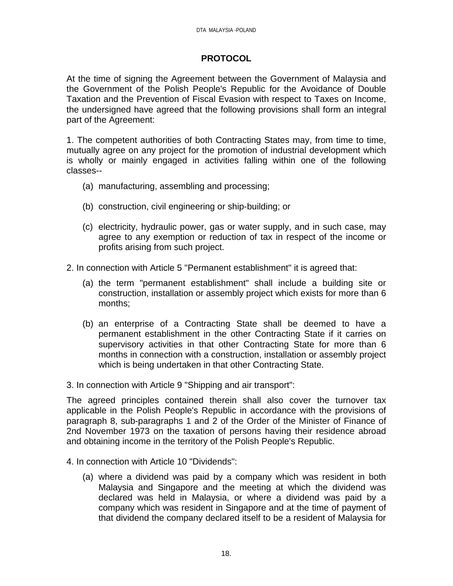## **PROTOCOL**

At the time of signing the Agreement between the Government of Malaysia and the Government of the Polish People's Republic for the Avoidance of Double Taxation and the Prevention of Fiscal Evasion with respect to Taxes on Income, the undersigned have agreed that the following provisions shall form an integral part of the Agreement:

1. The competent authorities of both Contracting States may, from time to time, mutually agree on any project for the promotion of industrial development which is wholly or mainly engaged in activities falling within one of the following classes--

- (a) manufacturing, assembling and processing;
- (b) construction, civil engineering or ship-building; or
- (c) electricity, hydraulic power, gas or water supply, and in such case, may agree to any exemption or reduction of tax in respect of the income or profits arising from such project.
- 2. In connection with Article 5 "Permanent establishment" it is agreed that:
	- (a) the term "permanent establishment" shall include a building site or construction, installation or assembly project which exists for more than 6 months;
	- (b) an enterprise of a Contracting State shall be deemed to have a permanent establishment in the other Contracting State if it carries on supervisory activities in that other Contracting State for more than 6 months in connection with a construction, installation or assembly project which is being undertaken in that other Contracting State.

3. In connection with Article 9 "Shipping and air transport":

The agreed principles contained therein shall also cover the turnover tax applicable in the Polish People's Republic in accordance with the provisions of paragraph 8, sub-paragraphs 1 and 2 of the Order of the Minister of Finance of 2nd November 1973 on the taxation of persons having their residence abroad and obtaining income in the territory of the Polish People's Republic.

- 4. In connection with Article 10 "Dividends":
	- (a) where a dividend was paid by a company which was resident in both Malaysia and Singapore and the meeting at which the dividend was declared was held in Malaysia, or where a dividend was paid by a company which was resident in Singapore and at the time of payment of that dividend the company declared itself to be a resident of Malaysia for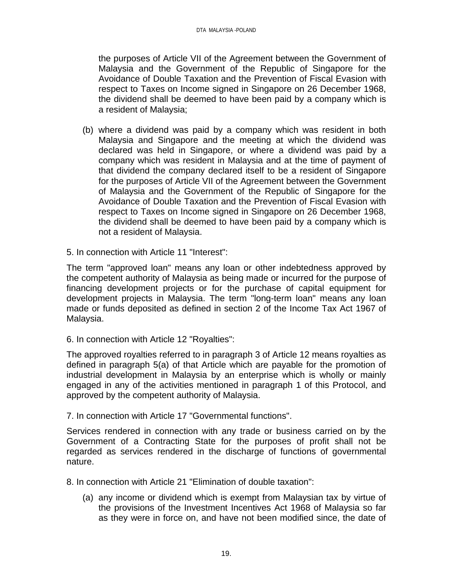the purposes of Article VII of the Agreement between the Government of Malaysia and the Government of the Republic of Singapore for the Avoidance of Double Taxation and the Prevention of Fiscal Evasion with respect to Taxes on Income signed in Singapore on 26 December 1968, the dividend shall be deemed to have been paid by a company which is a resident of Malaysia;

- (b) where a dividend was paid by a company which was resident in both Malaysia and Singapore and the meeting at which the dividend was declared was held in Singapore, or where a dividend was paid by a company which was resident in Malaysia and at the time of payment of that dividend the company declared itself to be a resident of Singapore for the purposes of Article VII of the Agreement between the Government of Malaysia and the Government of the Republic of Singapore for the Avoidance of Double Taxation and the Prevention of Fiscal Evasion with respect to Taxes on Income signed in Singapore on 26 December 1968, the dividend shall be deemed to have been paid by a company which is not a resident of Malaysia.
- 5. In connection with Article 11 "Interest":

The term "approved loan" means any loan or other indebtedness approved by the competent authority of Malaysia as being made or incurred for the purpose of financing development projects or for the purchase of capital equipment for development projects in Malaysia. The term "long-term loan" means any loan made or funds deposited as defined in section 2 of the Income Tax Act 1967 of Malaysia.

6. In connection with Article 12 "Royalties":

The approved royalties referred to in paragraph 3 of Article 12 means royalties as defined in paragraph 5(a) of that Article which are payable for the promotion of industrial development in Malaysia by an enterprise which is wholly or mainly engaged in any of the activities mentioned in paragraph 1 of this Protocol, and approved by the competent authority of Malaysia.

7. In connection with Article 17 "Governmental functions".

Services rendered in connection with any trade or business carried on by the Government of a Contracting State for the purposes of profit shall not be regarded as services rendered in the discharge of functions of governmental nature.

8. In connection with Article 21 "Elimination of double taxation":

(a) any income or dividend which is exempt from Malaysian tax by virtue of the provisions of the Investment Incentives Act 1968 of Malaysia so far as they were in force on, and have not been modified since, the date of